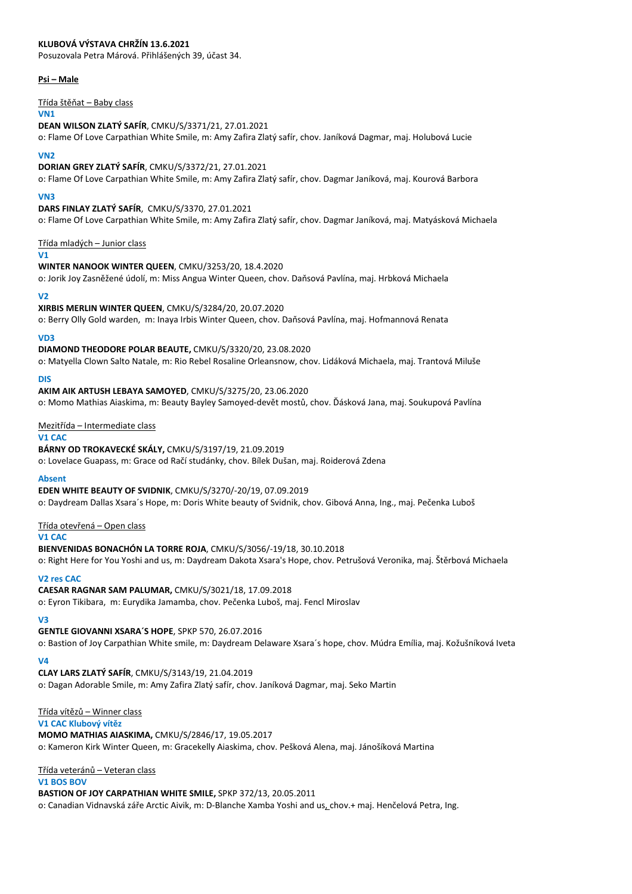## **KLUBOVÁ VÝSTAVA CHRŽÍN 13.6.2021**

Posuzovala Petra Márová. Přihlášených 39, účast 34.

#### **Psi – Male**

Třída štěňat – Baby class

#### **VN1**

**DEAN WILSON ZLATÝ SAFÍR**, CMKU/S/3371/21, 27.01.2021

o: Flame Of Love Carpathian White Smile, m: Amy Zafira Zlatý safír, chov. Janíková Dagmar, maj. Holubová Lucie

#### **VN2**

**DORIAN GREY ZLATÝ SAFÍR**, CMKU/S/3372/21, 27.01.2021

o: Flame Of Love Carpathian White Smile, m: Amy Zafira Zlatý safír, chov. Dagmar Janíková, maj. Kourová Barbora

#### **VN3**

**DARS FINLAY ZLATÝ SAFÍR**, CMKU/S/3370, 27.01.2021 o: Flame Of Love Carpathian White Smile, m: Amy Zafira Zlatý safír, chov. Dagmar Janíková, maj. Matyásková Michaela

#### Třída mladých – Junior class

**V1**

#### **WINTER NANOOK WINTER QUEEN**, CMKU/3253/20, 18.4.2020

o: Jorik Joy Zasněžené údolí, m: Miss Angua Winter Queen, chov. Daňsová Pavlína, maj. Hrbková Michaela

#### **V2**

**XIRBIS MERLIN WINTER QUEEN**, CMKU/S/3284/20, 20.07.2020

o: Berry Olly Gold warden, m: Inaya Irbis Winter Queen, chov. Daňsová Pavlína, maj. Hofmannová Renata

**VD3**

#### **DIAMOND THEODORE POLAR BEAUTE,** CMKU/S/3320/20, 23.08.2020

o: Matyella Clown Salto Natale, m: Rio Rebel Rosaline Orleansnow, chov. Lidáková Michaela, maj. Trantová Miluše

**DIS**

**AKIM AIK ARTUSH LEBAYA SAMOYED**, CMKU/S/3275/20, 23.06.2020

o: Momo Mathias Aiaskima, m: Beauty Bayley Samoyed-devět mostů, chov. Ďásková Jana, maj. Soukupová Pavlína

Mezitřída – Intermediate class

## **V1 CAC**

**BÁRNY OD TROKAVECKÉ SKÁLY,** CMKU/S/3197/19, 21.09.2019 o: Lovelace Guapass, m: Grace od Račí studánky, chov. Bílek Dušan, maj. Roiderová Zdena

## **Absent**

**EDEN WHITE BEAUTY OF SVIDNIK**, CMKU/S/3270/-20/19, 07.09.2019 o: Daydream Dallas Xsara´s Hope, m: Doris White beauty of Svidnik, chov. Gibová Anna, Ing., maj. Pečenka Luboš

#### Třída otevřená – Open class

**V1 CAC**

**BIENVENIDAS BONACHÓN LA TORRE ROJA**, CMKU/S/3056/-19/18, 30.10.2018 o: Right Here for You Yoshi and us, m: Daydream Dakota Xsara's Hope, chov. Petrušová Veronika, maj. Štěrbová Michaela

#### **V2 res CAC**

**CAESAR RAGNAR SAM PALUMAR,** CMKU/S/3021/18, 17.09.2018

o: Eyron Tikibara, m: Eurydika Jamamba, chov. Pečenka Luboš, maj. Fencl Miroslav

# **V3**

# **GENTLE GIOVANNI XSARA´S HOPE**, SPKP 570, 26.07.2016

o: Bastion of Joy Carpathian White smile, m: Daydream Delaware Xsara´s hope, chov. Múdra Emília, maj. Kožušníková Iveta

# **V4**

# **CLAY LARS ZLATÝ SAFÍR**, CMKU/S/3143/19, 21.04.2019

o: Dagan Adorable Smile, m: Amy Zafira Zlatý safír, chov. Janíková Dagmar, maj. Seko Martin

# Třída vítězů – Winner class

**V1 CAC Klubový vítěz**

**MOMO MATHIAS AIASKIMA,** CMKU/S/2846/17, 19.05.2017 o: Kameron Kirk Winter Queen, m: Gracekelly Aiaskima, chov. Pešková Alena, maj. Jánošíková Martina

# Třída veteránů – Veteran class

**V1 BOS BOV**

**BASTION OF JOY CARPATHIAN WHITE SMILE,** SPKP 372/13, 20.05.2011 o: Canadian Vidnavská záře Arctic Aivik, m: D-Blanche Xamba Yoshi and us, chov.+ maj. Henčelová Petra, Ing.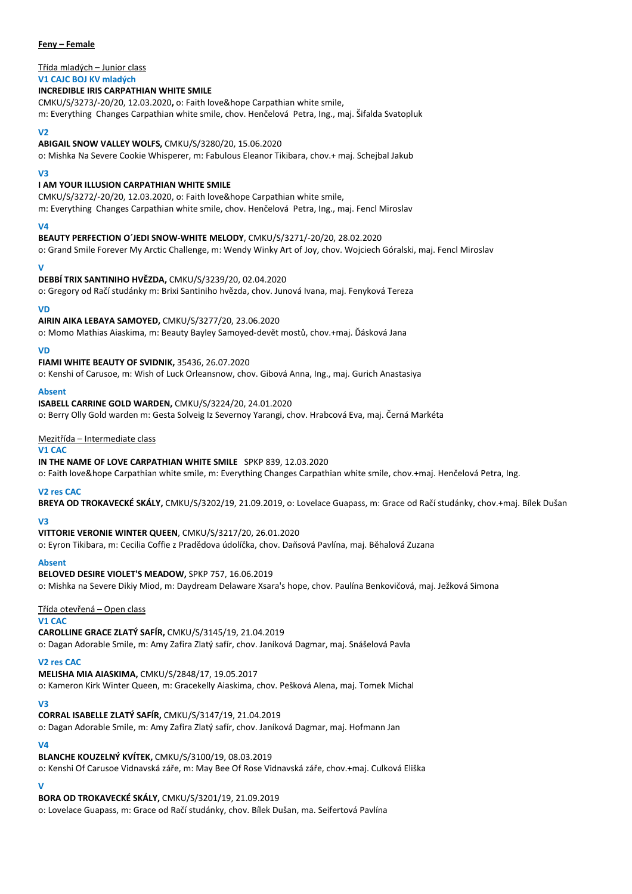## **Feny – Female**

# Třída mladých – Junior class

#### **V1 CAJC BOJ KV mladých INCREDIBLE IRIS CARPATHIAN WHITE SMILE**

CMKU/S/3273/-20/20, 12.03.2020**,** o: Faith love&hope Carpathian white smile, m: Everything Changes Carpathian white smile, chov. Henčelová Petra, Ing., maj. Šifalda Svatopluk

#### **V2**

#### **ABIGAIL SNOW VALLEY WOLFS,** CMKU/S/3280/20, 15.06.2020

o: Mishka Na Severe Cookie Whisperer, m: Fabulous Eleanor Tikibara, chov.+ maj. Schejbal Jakub

#### **V3**

## **I AM YOUR ILLUSION CARPATHIAN WHITE SMILE**

CMKU/S/3272/-20/20, 12.03.2020, o: Faith love&hope Carpathian white smile, m: Everything Changes Carpathian white smile, chov. Henčelová Petra, Ing., maj. Fencl Miroslav

## **V4**

**BEAUTY PERFECTION O´JEDI SNOW-WHITE MELODY**, CMKU/S/3271/-20/20, 28.02.2020

o: Grand Smile Forever My Arctic Challenge, m: Wendy Winky Art of Joy, chov. Wojciech Góralski, maj. Fencl Miroslav

## **V**

**DEBBÍ TRIX SANTINIHO HVĚZDA,** CMKU/S/3239/20, 02.04.2020

o: Gregory od Račí studánky m: Brixi Santiniho hvězda, chov. Junová Ivana, maj. Fenyková Tereza

## **VD**

**AIRIN AIKA LEBAYA SAMOYED,** CMKU/S/3277/20, 23.06.2020

o: Momo Mathias Aiaskima, m: Beauty Bayley Samoyed-devět mostů, chov.+maj. Ďásková Jana

## **VD**

**FIAMI WHITE BEAUTY OF SVIDNIK,** 35436, 26.07.2020

o: Kenshi of Carusoe, m: Wish of Luck Orleansnow, chov. Gibová Anna, Ing., maj. Gurich Anastasiya

#### **Absent**

**ISABELL CARRINE GOLD WARDEN,** CMKU/S/3224/20, 24.01.2020

o: Berry Olly Gold warden m: Gesta Solveig Iz Severnoy Yarangi, chov. Hrabcová Eva, maj. Černá Markéta

## Mezitřída – Intermediate class

## **V1 CAC**

## **IN THE NAME OF LOVE CARPATHIAN WHITE SMILE** SPKP 839, 12.03.2020

o: Faith love&hope Carpathian white smile, m: Everything Changes Carpathian white smile, chov.+maj. Henčelová Petra, Ing.

## **V2 res CAC**

**BREYA OD TROKAVECKÉ SKÁLY,** CMKU/S/3202/19, 21.09.2019, o: Lovelace Guapass, m: Grace od Račí studánky, chov.+maj. Bílek Dušan

# **V3**

# **VITTORIE VERONIE WINTER QUEEN**, CMKU/S/3217/20, 26.01.2020

o: Eyron Tikibara, m: Cecilia Coffie z Pradědova údolíčka, chov. Daňsová Pavlína, maj. Běhalová Zuzana

# **Absent**

**BELOVED DESIRE VIOLET'S MEADOW,** SPKP 757, 16.06.2019 o: Mishka na Severe Dikiy Miod, m: Daydream Delaware Xsara's hope, chov. Paulína Benkovičová, maj. Ježková Simona

# Třída otevřená – Open class

**V1 CAC**

**CAROLLINE GRACE ZLATÝ SAFÍR,** CMKU/S/3145/19, 21.04.2019 o: Dagan Adorable Smile, m: Amy Zafira Zlatý safír, chov. Janíková Dagmar, maj. Snášelová Pavla

# **V2 res CAC**

**MELISHA MIA AIASKIMA,** CMKU/S/2848/17, 19.05.2017 o: Kameron Kirk Winter Queen, m: Gracekelly Aiaskima, chov. Pešková Alena, maj. Tomek Michal

## **V3**

## **CORRAL ISABELLE ZLATÝ SAFÍR,** CMKU/S/3147/19, 21.04.2019

o: Dagan Adorable Smile, m: Amy Zafira Zlatý safír, chov. Janíková Dagmar, maj. Hofmann Jan

## **V4**

**BLANCHE KOUZELNÝ KVÍTEK,** CMKU/S/3100/19, 08.03.2019 o: Kenshi Of Carusoe Vidnavská záře, m: May Bee Of Rose Vidnavská záře, chov.+maj. Culková Eliška

# **V**

**BORA OD TROKAVECKÉ SKÁLY,** CMKU/S/3201/19, 21.09.2019 o: Lovelace Guapass, m: Grace od Račí studánky, chov. Bílek Dušan, ma. Seifertová Pavlína